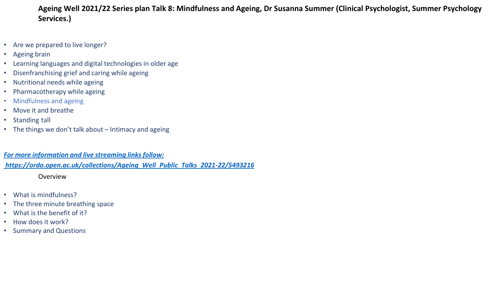# **Ageing Well 2021/22 Series plan Talk 8: Mindfulness and Ageing, Dr Susanna Summer (Clinical Psychologist, Summer Psychology Services.)**

- Are we prepared to live longer?
- Ageing brain
- Learning languages and digital technologies in older age
- Disenfranchising grief and caring while ageing
- Nutritional needs while ageing
- Pharmacotherapy while ageing
- Mindfulness and ageing
- Move it and breathe
- Standing tall
- The things we don't talk about Intimacy and ageing

*For more information and live streaming links follow:*

*[https://ordo.open.ac.uk/collections/Ageing\\_Well\\_Public\\_Talks\\_2021-22/5493216](https://ordo.open.ac.uk/collections/Ageing_Well_Public_Talks_2021-22/5493216)*

Overview

- What is mindfulness?
- The three minute breathing space
- What is the benefit of it?
- How does it work?
- Summary and Questions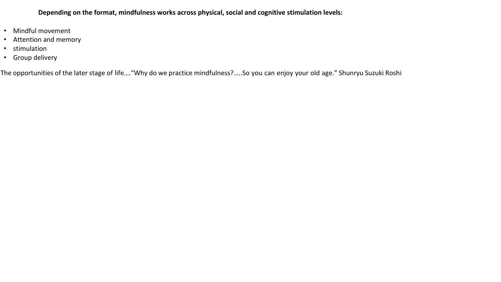**Depending on the format, mindfulness works across physical, social and cognitive stimulation levels:**

- Mindful movement
- Attention and memory
- stimulation
- Group delivery

The opportunities of the later stage of life…."Why do we practice mindfulness?…..So you can enjoy your old age." Shunryu Suzuki Roshi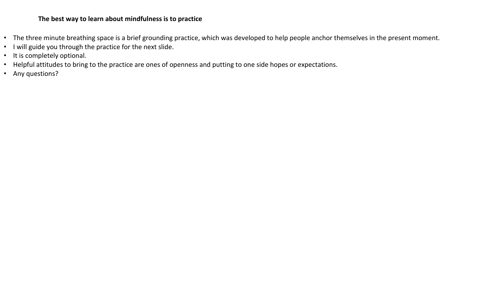## **The best way to learn about mindfulness is to practice**

- The three minute breathing space is a brief grounding practice, which was developed to help people anchor themselves in the present moment.
- I will guide you through the practice for the next slide.
- It is completely optional.
- Helpful attitudes to bring to the practice are ones of openness and putting to one side hopes or expectations.
- Any questions?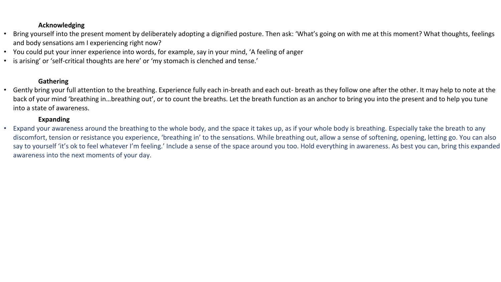## **Acknowledging**

- Bring yourself into the present moment by deliberately adopting a dignified posture. Then ask: 'What's going on with me at this moment? What thoughts, feelings and body sensations am I experiencing right now?
- You could put your inner experience into words, for example, say in your mind, 'A feeling of anger
- is arising' or 'self-critical thoughts are here' or 'my stomach is clenched and tense.'

## **Gathering**

• Gently bring your full attention to the breathing. Experience fully each in-breath and each out- breath as they follow one after the other. It may help to note at the back of your mind 'breathing in…breathing out', or to count the breaths. Let the breath function as an anchor to bring you into the present and to help you tune into a state of awareness.

## **Expanding**

• Expand your awareness around the breathing to the whole body, and the space it takes up, as if your whole body is breathing. Especially take the breath to any discomfort, tension or resistance you experience, 'breathing in' to the sensations. While breathing out, allow a sense of softening, opening, letting go. You can also say to yourself 'it's ok to feel whatever I'm feeling.' Include a sense of the space around you too. Hold everything in awareness. As best you can, bring this expanded awareness into the next moments of your day.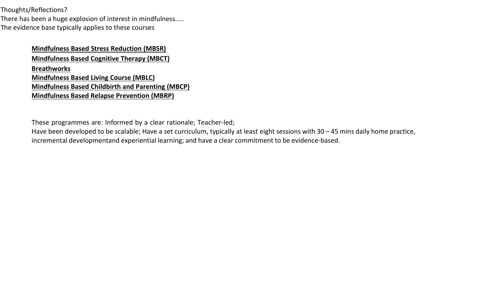Thoughts/Reflections?

There has been a huge explosion of interest in mindfulness….. The evidence base typically applies to these courses

# **[Mindfulness](https://www.umassmed.edu/) Based Stress Reduction (MBSR) [Mindfulness Based Cognitive Therapy \(MBCT\)](https://mbct.co.uk/) [Breathworks](https://www.breathworks-mindfulness.org.uk/) [Mindfulness](https://www.mindfulnessassociation.net/) Based Living Course (MBLC) [Mindfulness](https://www.mindfulbirthing.org/) Based Childbirth and Parenting (MBCP) [Mindfulness Based Relapse Prevention](file:///C:/Users/co3524/Work%20Folders/Downloads/Mindfulness%20Based%20Relapse%20Prevention%20(MBRP)) (MBRP)**

These programmes are: Informed by a clear rationale; Teacher-led;

Have been developed to be scalable; Have a set curriculum, typically at least eight sessions with 30 – 45 mins daily home practice, incremental developmentand experiential learning; and have a clear commitment to be evidence-based.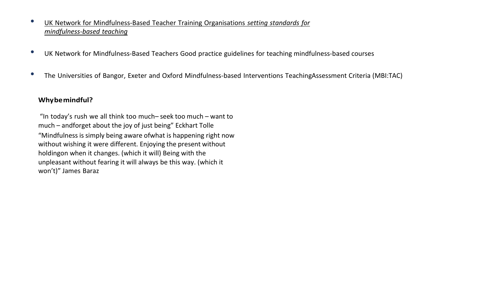- UK Network for [Mindfulness-Based](https://mindfulnessteachers.org.uk/) Teacher Training Organisations *setting standards for [mindfulness-based](https://mindfulnessteachers.org.uk/) teaching*
- UK Network for Mindfulness-Based Teachers Good practice guidelines for teaching mindfulness-based courses
- The Universities of Bangor, Exeter and Oxford Mindfulness-based Interventions TeachingAssessment Criteria (MBI:TAC)

## **Whybemindful?**

"In today's rush we all think too much– seek too much – want to much – andforget about the joy of just being" Eckhart Tolle "Mindfulness is simply being aware ofwhat is happening right now without wishing it were different. Enjoying the present without holdingon when it changes. (which it will) Being with the unpleasant without fearing it will always be this way. (which it won't)" James Baraz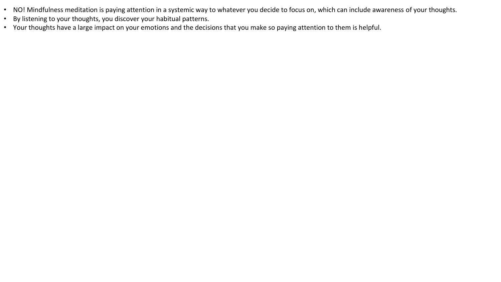- NO! Mindfulness meditation is paying attention in a systemic way to whatever you decide to focus on, which can include awareness of your thoughts.
- By listening to your thoughts, you discover your habitual patterns.
- Your thoughts have a large impact on your emotions and the decisions that you make so paying attention to them is helpful.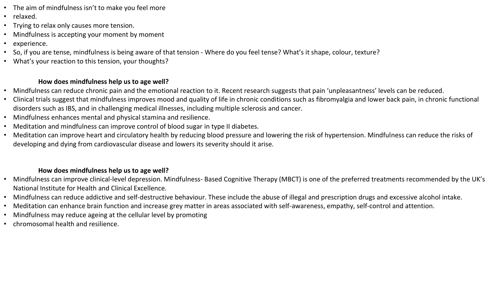- The aim of mindfulness isn't to make you feel more
- relaxed.
- Trying to relax only causes more tension.
- Mindfulness is accepting your moment by moment
- experience.
- So, if you are tense, mindfulness is being aware of that tension Where do you feel tense? What's it shape, colour, texture?
- What's your reaction to this tension, your thoughts?

# **How does mindfulness help us to age well?**

- Mindfulness can reduce chronic pain and the emotional reaction to it. Recent research suggests that pain 'unpleasantness' levels can be reduced.
- Clinical trials suggest that mindfulness improves mood and quality of life in chronic conditions such as fibromyalgia and lower back pain, in chronic functional disorders such as IBS, and in challenging medical illnesses, including multiple sclerosis and cancer.
- Mindfulness enhances mental and physical stamina and resilience.
- Meditation and mindfulness can improve control of blood sugar in type II diabetes.
- Meditation can improve heart and circulatory health by reducing blood pressure and lowering the risk of hypertension. Mindfulness can reduce the risks of developing and dying from cardiovascular disease and lowers its severity should it arise.

# **How does mindfulness help us to age well?**

- Mindfulness can improve clinical-level depression. Mindfulness- Based Cognitive Therapy (MBCT) is one of the preferred treatments recommended by the UK's National Institute for Health and Clinical Excellence.
- Mindfulness can reduce addictive and self-destructive behaviour. These include the abuse of illegal and prescription drugs and excessive alcohol intake.
- Meditation can enhance brain function and increase grey matter in areas associated with self-awareness, empathy, self-control and attention.
- Mindfulness may reduce ageing at the cellular level by promoting
- chromosomal health and resilience.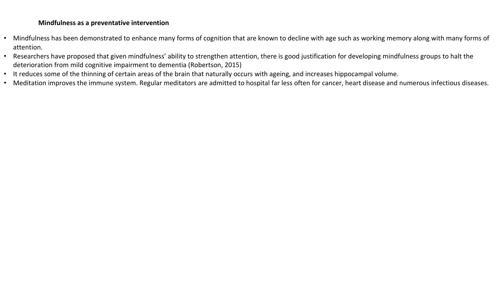### **Mindfulness as a preventative intervention**

- Mindfulness has been demonstrated to enhance many forms of cognition that are known to decline with age such as working memory along with many forms of attention.
- Researchers have proposed that given mindfulness' ability to strengthen attention, there is good justification for developing mindfulness groups to halt the deterioration from mild cognitive impairment to dementia (Robertson, 2015)
- It reduces some of the thinning of certain areas of the brain that naturally occurs with ageing, and increases hippocampal volume.
- Meditation improves the immune system. Regular meditators are admitted to hospital far less often for cancer, heart disease and numerous infectious diseases.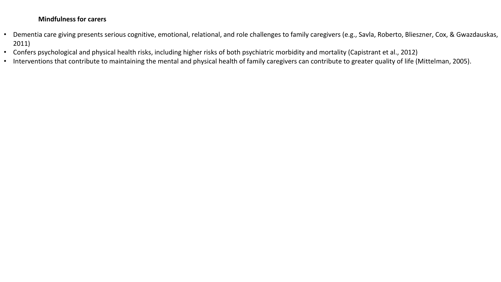## **Mindfulness for carers**

- Dementia care giving presents serious cognitive, emotional, relational, and role challenges to family caregivers (e.g., Savla, Roberto, Blieszner, Cox, & Gwazdauskas, 2011)
- Confers psychological and physical health risks, including higher risks of both psychiatric morbidity and mortality (Capistrant et al., 2012)
- Interventions that contribute to maintaining the mental and physical health of family caregivers can contribute to greater quality of life (Mittelman, 2005).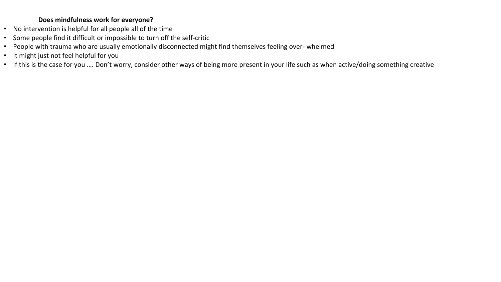## **Does mindfulness work for everyone?**

- No intervention is helpful for all people all of the time
- Some people find it difficult or impossible to turn off the self-critic
- People with trauma who are usually emotionally disconnected might find themselves feeling over- whelmed
- It might just not feel helpful for you
- If this is the case for you …. Don't worry, consider other ways of being more present in your life such as when active/doing something creative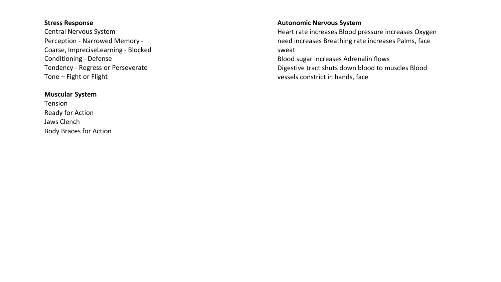#### **Stress Response**

Central Nervous System Perception - Narrowed Memory - Coarse, ImpreciseLearning - Blocked Conditioning - Defense Tendency - Regress or Perseverate Tone – Fight or Flight

#### **Muscular System**

Tension Ready for Action Jaws Clench Body Braces for Action

#### **Autonomic Nervous System**

Heart rate increases Blood pressure increases Oxygen need increases Breathing rate increases Palms, face sweat

Blood sugar increases Adrenalin flows Digestive tract shuts down blood to muscles Blood vessels constrict in hands, face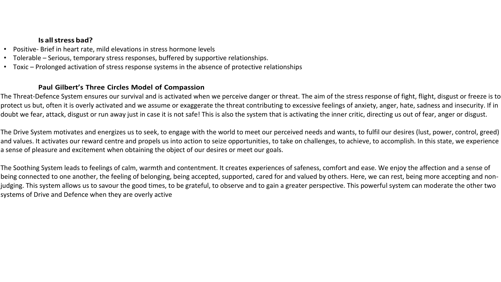## **Is allstress bad?**

- Positive- Brief in heart rate, mild elevations in stress hormone levels
- Tolerable Serious, temporary stress responses, buffered by supportive relationships.
- Toxic Prolonged activation of stress response systems in the absence of protective relationships

## **Paul Gilbert's Three Circles Model of Compassion**

The Threat-Defence System ensures our survival and is activated when we perceive danger or threat. The aim of the stress response of fight, flight, disgust or freeze is to protect us but, often it is overly activated and we assume or exaggerate the threat contributing to excessive feelings of anxiety, anger, hate, sadness and insecurity. If in doubt we fear, attack, disgust or run away just in case it is not safe! This is also the system that is activating the inner critic, directing us out of fear, anger or disgust.

The Drive System motivates and energizes us to seek, to engage with the world to meet our perceived needs and wants, to fulfil our desires (lust, power, control, greed) and values. It activates our reward centre and propels us into action to seize opportunities, to take on challenges, to achieve, to accomplish. In this state, we experience a sense of pleasure and excitement when obtaining the object of our desires or meet our goals.

The Soothing System leads to feelings of calm, warmth and contentment. It creates experiences of safeness, comfort and ease. We enjoy the affection and a sense of being connected to one another, the feeling of belonging, being accepted, supported, cared for and valued by others. Here, we can rest, being more accepting and nonjudging. This system allows us to savour the good times, to be grateful, to observe and to gain a greater perspective. This powerful system can moderate the other two systems of Drive and Defence when they are overly active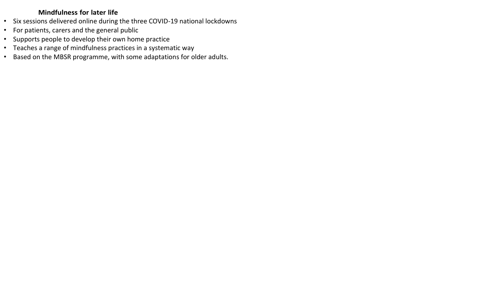## **Mindfulness for later life**

- Six sessions delivered online during the three COVID-19 national lockdowns
- For patients, carers and the general public
- Supports people to develop their own home practice
- Teaches a range of mindfulness practices in a systematic way
- Based on the MBSR programme, with some adaptations for older adults.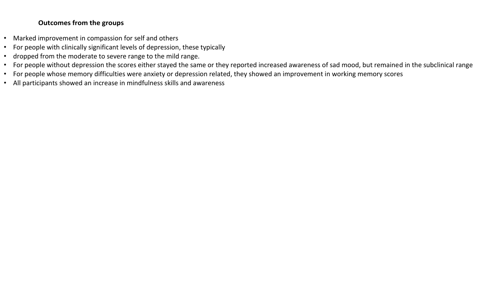## **Outcomes from the groups**

- Marked improvement in compassion for self and others
- For people with clinically significant levels of depression, these typically
- dropped from the moderate to severe range to the mild range.
- For people without depression the scores either stayed the same or they reported increased awareness of sad mood, but remained in the subclinical range
- For people whose memory difficulties were anxiety or depression related, they showed an improvement in working memory scores
- All participants showed an increase in mindfulness skills and awareness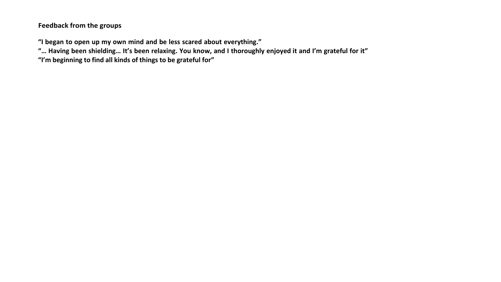**Feedback from the groups**

**"I began to open up my own mind and be less scared about everything."**

"... Having been shielding... It's been relaxing. You know, and I thoroughly enjoyed it and I'm grateful for it"

**"I'm beginning to find all kinds of things to be grateful for"**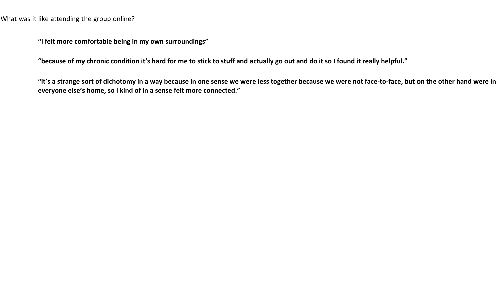What was it like attending the group online?

**"I felt more comfortable being in my own surroundings"**

**"because of my chronic condition it's hard for me to stick to stuff and actually go out and do it so I found it really helpful."**

**"it's a strange sort of dichotomy in a way because in one sense we were less together because we were not face-to-face, but on the other hand were in everyone else's home, so I kind of in a sense felt more connected."**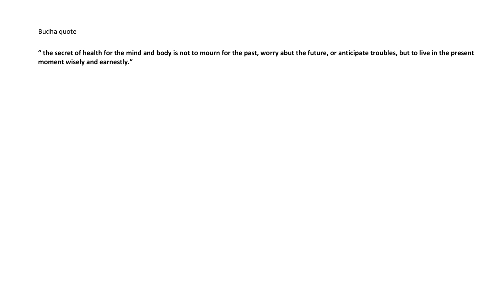Budha quote

**" the secret of health for the mind and body is not to mourn for the past, worry abut the future, or anticipate troubles, but to live in the present moment wisely and earnestly."**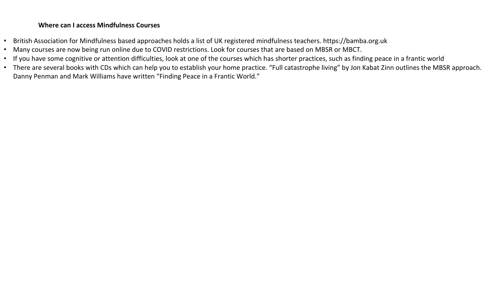## **Where can I access Mindfulness Courses**

- British Association for Mindfulness based approaches holds a list of UK registered mindfulness teachers. https://bamba.org.uk
- Many courses are now being run online due to COVID restrictions. Look for courses that are based on MBSR or MBCT.
- If you have some cognitive or attention difficulties, look at one of the courses which has shorter practices, such as finding peace in a frantic world
- There are several books with CDs which can help you to establish your home practice. "Full catastrophe living" by Jon Kabat Zinn outlines the MBSR approach. Danny Penman and Mark Williams have written "Finding Peace in a Frantic World."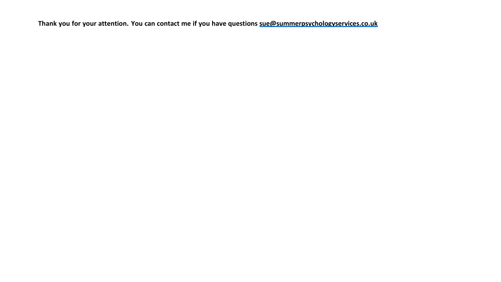**Thank you for your attention. You can contact me if you have questions [sue@summerpsychologyservices.co.uk](mailto:sue@summerpsychologyservices.co.uk)**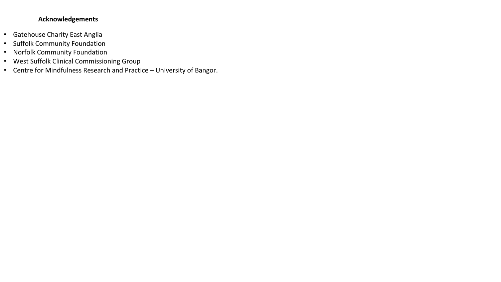## **Acknowledgements**

- Gatehouse Charity East Anglia
- Suffolk Community Foundation
- Norfolk Community Foundation
- West Suffolk Clinical Commissioning Group
- Centre for Mindfulness Research and Practice University of Bangor.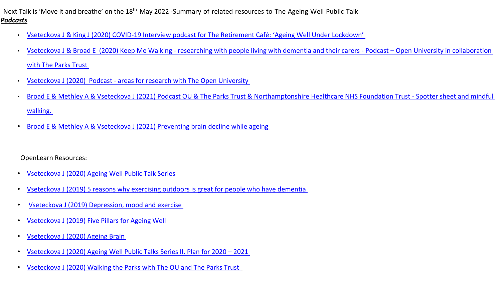Next Talk is 'Move it and breathe' on the 18<sup>th</sup> May 2022 -Summary of related resources to The Ageing Well Public Talk *Podcasts*

- Vseteckova J & King J (2020) COVID-[19 Interview podcast for The Retirement Café: 'Ageing Well Under Lockdown'](https://theretirementcafe.co.uk/077-dr-jitka/)
- Vseteckova J & Broad E (2020) Keep Me Walking [researching with people living with dementia and their carers -](https://youtu.be/0QHAS88C-LU) Podcast Open University in collaboration [with The Parks Trust](https://youtu.be/0QHAS88C-LU)
- Vseteckova J (2020) Podcast [areas for research with The Open University](https://youtu.be/vE6J9J_ovOM)
- [Broad E & Methley A & Vseteckova J \(2021\) Podcast OU & The Parks Trust & Northamptonshire](https://www.youtube.com/watch?v=dq5OXEBk3CA&feature=youtu.be) Healthcare NHS Foundation Trust Spotter sheet and mindful [walking.](https://www.youtube.com/watch?v=dq5OXEBk3CA&feature=youtu.be)
- [Broad E & Methley A & Vseteckova J \(2021\) Preventing brain decline while ageing](https://www.youtube.com/watch?v=965w7K8XPdo)

OpenLearn Resources:

- Vseteckova J [\(2020\) Ageing Well Public Talk Series](https://www.open.edu/openlearn/health-sports-psychology/health/the-ageing-well-public-talks)
- Vseteckova J [\(2019\) 5 reasons why exercising outdoors is great for people who have dementia](https://www.open.edu/openlearn/health-sports-psychology/mental-health/5-reasons-why-exercising-outdoors-great-people-who-have-dementia)
- Vseteckova J [\(2019\) Depression, mood and exercise](https://www.open.edu/openlearn/health-sports-psychology/mental-health/depression-mood-and-exercise?in_menu=622279)
- Vseteckova J [\(2019\) Five Pillars for Ageing Well](https://www.open.edu/openlearn/health-sports-psychology/mental-health/five-pillars-ageing-well)
- Vseteckova J [\(2020\) Ageing Brain](https://www.open.edu/openlearn/health-sports-psychology/health/the-ageing-brain-use-it-or-lose-it)
- Vseteckova J [\(2020\) Ageing Well Public Talks Series II. Plan for 2020](https://www.open.edu/openlearn/health-sports-psychology/health/ageing-well-public-talk-series-plan-2020/2021)  2021
- Vseteckova J [\(2020\) Walking the Parks with The OU and The Parks Trust](https://www.open.edu/openlearn/health-sports-psychology/social-care-social-work/keep-me-walking-people-living-dementia-and-outdoor-environments)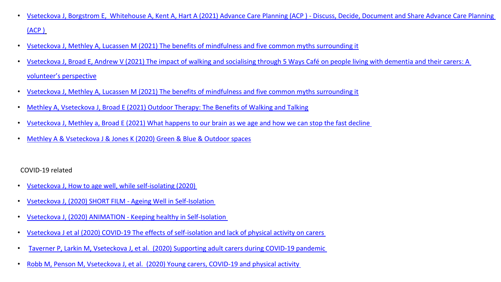- [Vseteckova J, Borgstrom E, Whitehouse A, Kent A, Hart A \(2021\) Advance Care Planning \(ACP \) -](https://www.open.edu/openlearn/health-sports-psychology/health/advance-care-planning-acp-discuss-decide-document-and-share) Discuss, Decide, Document and Share Advance Care Planning [\(ACP \)](https://www.open.edu/openlearn/health-sports-psychology/health/advance-care-planning-acp-discuss-decide-document-and-share)
- [Vseteckova J, Methley A, Lucassen M \(2021\) The benefits of mindfulness and five common myths surrounding it](https://www.open.edu/openlearn/health-sports-psychology/mental-health/the-benefits-mindfulness-and-five-common-myths-surrounding-it)
- [Vseteckova J, Broad E, Andrew V \(2021\) The impact of walking and socialising through 5 Ways Café on people living with dementia and their carers: A](https://www.open.edu/openlearn/health-sports-psychology/health/the-impact-walking-and-socialising-through-5-ways-cafe-on-people-living-dementia-and-their-carers)  [volunteer's perspective](https://www.open.edu/openlearn/health-sports-psychology/health/the-impact-walking-and-socialising-through-5-ways-cafe-on-people-living-dementia-and-their-carers)
- [Vseteckova J, Methley A, Lucassen M \(2021\) The benefits of mindfulness and five common myths surrounding it](https://www.open.edu/openlearn/health-sports-psychology/mental-health/the-benefits-mindfulness-and-five-common-myths-surrounding-it)
- [Methley A, Vseteckova J, Broad E \(2021\) Outdoor Therapy: The Benefits of Walking and Talking](https://www.open.edu/openlearn/health-sports-psychology/mental-health/outdoor-therapy-the-benefits-walking-and-talking)
- [Vseteckova J, Methley a, Broad E \(2021\) What happens to our brain as we age and how we can stop the fast decline](https://www.open.edu/openlearn/health-sports-psychology/health/what-happens-our-brain-we-age-and-how-can-we-stop-the-decline)
- Methley A & Vseteckova J & [Jones K \(2020\) Green & Blue & Outdoor spaces](https://www.open.edu/openlearn/health-sports-psychology/mental-health/the-benefits-outdoor-green-and-blue-spaces)

COVID-19 related

- [Vseteckova J, How to age well, while self-isolating \(2020\)](https://www.open.edu/openlearn/health-sports-psychology/how-age-well-while-self-isolating)
- [Vseteckova J, \(2020\) SHORT FILM -](https://youtu.be/LU4pXFgcGos) Ageing Well in Self-Isolation
- Vseteckova J, (2020) ANIMATION [Keeping healthy in Self-Isolation](https://youtu.be/M9yUC-MUugA)
- Vseteckova J et al (2020) COVID-19 [The effects of self-isolation and lack of physical activity on carers](https://www.open.edu/openlearn/health-sports-psychology/social-care-social-work/the-effects-self-isolation-and-lack-physical-activity-on-carers)
- Taverner P, Larkin M, Vseteckova J, [et al. \(2020\) Supporting adult carers during COVID-19 pandemic](https://www.open.edu/openlearn/health-sports-psychology/social-care-social-work/how-can-adult-carers-get-the-best-support-during-covid-19-pandemic-and-beyond)
- Robb M, Penson M, Vseteckova J, [et al. \(2020\) Young carers, COVID-19 and physical activity](https://www.open.edu/openlearn/health-sports-psychology/social-care-social-work/young-carerscovid-19-and-physical-activity)